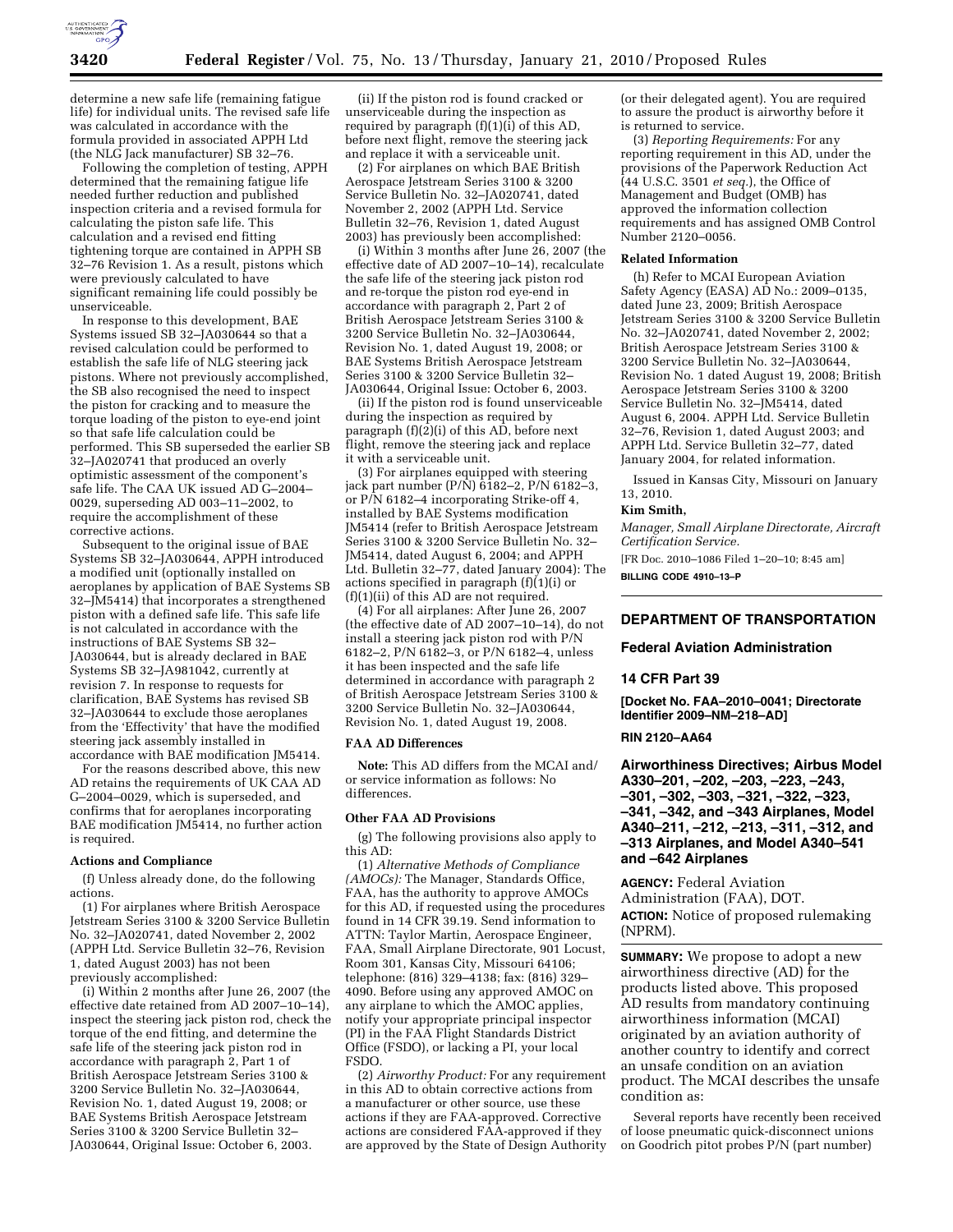

determine a new safe life (remaining fatigue life) for individual units. The revised safe life was calculated in accordance with the formula provided in associated APPH Ltd (the NLG Jack manufacturer) SB 32–76.

Following the completion of testing, APPH determined that the remaining fatigue life needed further reduction and published inspection criteria and a revised formula for calculating the piston safe life. This calculation and a revised end fitting tightening torque are contained in APPH SB 32–76 Revision 1. As a result, pistons which were previously calculated to have significant remaining life could possibly be unserviceable.

In response to this development, BAE Systems issued SB 32–JA030644 so that a revised calculation could be performed to establish the safe life of NLG steering jack pistons. Where not previously accomplished, the SB also recognised the need to inspect the piston for cracking and to measure the torque loading of the piston to eye-end joint so that safe life calculation could be performed. This SB superseded the earlier SB 32–JA020741 that produced an overly optimistic assessment of the component's safe life. The CAA UK issued AD G–2004– 0029, superseding AD 003–11–2002, to require the accomplishment of these corrective actions.

Subsequent to the original issue of BAE Systems SB 32–JA030644, APPH introduced a modified unit (optionally installed on aeroplanes by application of BAE Systems SB 32–JM5414) that incorporates a strengthened piston with a defined safe life. This safe life is not calculated in accordance with the instructions of BAE Systems SB 32– JA030644, but is already declared in BAE Systems SB 32–JA981042, currently at revision 7. In response to requests for clarification, BAE Systems has revised SB 32–JA030644 to exclude those aeroplanes from the 'Effectivity' that have the modified steering jack assembly installed in accordance with BAE modification JM5414.

For the reasons described above, this new AD retains the requirements of UK CAA AD G–2004–0029, which is superseded, and confirms that for aeroplanes incorporating BAE modification JM5414, no further action is required.

### **Actions and Compliance**

(f) Unless already done, do the following actions.

(1) For airplanes where British Aerospace Jetstream Series 3100 & 3200 Service Bulletin No. 32–JA020741, dated November 2, 2002 (APPH Ltd. Service Bulletin 32–76, Revision 1, dated August 2003) has not been previously accomplished:

(i) Within 2 months after June 26, 2007 (the effective date retained from AD 2007–10–14), inspect the steering jack piston rod, check the torque of the end fitting, and determine the safe life of the steering jack piston rod in accordance with paragraph 2, Part 1 of British Aerospace Jetstream Series 3100 & 3200 Service Bulletin No. 32–JA030644, Revision No. 1, dated August 19, 2008; or BAE Systems British Aerospace Jetstream Series 3100 & 3200 Service Bulletin 32– JA030644, Original Issue: October 6, 2003.

(ii) If the piston rod is found cracked or unserviceable during the inspection as required by paragraph  $(f)(1)(i)$  of this AD, before next flight, remove the steering jack and replace it with a serviceable unit.

(2) For airplanes on which BAE British Aerospace Jetstream Series 3100 & 3200 Service Bulletin No. 32–JA020741, dated November 2, 2002 (APPH Ltd. Service Bulletin 32–76, Revision 1, dated August 2003) has previously been accomplished:

(i) Within 3 months after June 26, 2007 (the effective date of AD 2007–10–14), recalculate the safe life of the steering jack piston rod and re-torque the piston rod eye-end in accordance with paragraph 2, Part 2 of British Aerospace Jetstream Series 3100 & 3200 Service Bulletin No. 32–JA030644, Revision No. 1, dated August 19, 2008; or BAE Systems British Aerospace Jetstream Series 3100 & 3200 Service Bulletin 32– JA030644, Original Issue: October 6, 2003.

(ii) If the piston rod is found unserviceable during the inspection as required by paragraph  $(f)(2)(i)$  of this AD, before next flight, remove the steering jack and replace it with a serviceable unit.

(3) For airplanes equipped with steering jack part number  $(P/N)$  6182–2,  $P/N$  6182–3, or P/N 6182–4 incorporating Strike-off 4, installed by BAE Systems modification JM5414 (refer to British Aerospace Jetstream Series 3100 & 3200 Service Bulletin No. 32– JM5414, dated August 6, 2004; and APPH Ltd. Bulletin 32–77, dated January 2004): The actions specified in paragraph  $(f)(1)(i)$  or (f)(1)(ii) of this AD are not required.

(4) For all airplanes: After June 26, 2007 (the effective date of AD 2007–10–14), do not install a steering jack piston rod with P/N 6182–2, P/N 6182–3, or P/N 6182–4, unless it has been inspected and the safe life determined in accordance with paragraph 2 of British Aerospace Jetstream Series 3100 & 3200 Service Bulletin No. 32–JA030644, Revision No. 1, dated August 19, 2008.

### **FAA AD Differences**

**Note:** This AD differs from the MCAI and/ or service information as follows: No differences.

### **Other FAA AD Provisions**

(g) The following provisions also apply to this AD:

(1) *Alternative Methods of Compliance (AMOCs):* The Manager, Standards Office, FAA, has the authority to approve AMOCs for this AD, if requested using the procedures found in 14 CFR 39.19. Send information to ATTN: Taylor Martin, Aerospace Engineer, FAA, Small Airplane Directorate, 901 Locust, Room 301, Kansas City, Missouri 64106; telephone: (816) 329–4138; fax: (816) 329– 4090. Before using any approved AMOC on any airplane to which the AMOC applies, notify your appropriate principal inspector (PI) in the FAA Flight Standards District Office (FSDO), or lacking a PI, your local FSDO.

(2) *Airworthy Product:* For any requirement in this AD to obtain corrective actions from a manufacturer or other source, use these actions if they are FAA-approved. Corrective actions are considered FAA-approved if they are approved by the State of Design Authority (or their delegated agent). You are required to assure the product is airworthy before it is returned to service.

(3) *Reporting Requirements:* For any reporting requirement in this AD, under the provisions of the Paperwork Reduction Act (44 U.S.C. 3501 *et seq.*), the Office of Management and Budget (OMB) has approved the information collection requirements and has assigned OMB Control Number 2120–0056.

# **Related Information**

(h) Refer to MCAI European Aviation Safety Agency (EASA) AD No.: 2009-0135, dated June 23, 2009; British Aerospace Jetstream Series 3100 & 3200 Service Bulletin No. 32–JA020741, dated November 2, 2002; British Aerospace Jetstream Series 3100 & 3200 Service Bulletin No. 32–JA030644, Revision No. 1 dated August 19, 2008; British Aerospace Jetstream Series 3100 & 3200 Service Bulletin No. 32–JM5414, dated August 6, 2004. APPH Ltd. Service Bulletin 32–76, Revision 1, dated August 2003; and APPH Ltd. Service Bulletin 32–77, dated January 2004, for related information.

Issued in Kansas City, Missouri on January 13, 2010.

# **Kim Smith,**

*Manager, Small Airplane Directorate, Aircraft Certification Service.* 

[FR Doc. 2010–1086 Filed 1–20–10; 8:45 am] **BILLING CODE 4910–13–P** 

**DEPARTMENT OF TRANSPORTATION** 

## **Federal Aviation Administration**

#### **14 CFR Part 39**

**[Docket No. FAA–2010–0041; Directorate Identifier 2009–NM–218–AD]** 

# **RIN 2120–AA64**

**Airworthiness Directives; Airbus Model A330–201, –202, –203, –223, –243, –301, –302, –303, –321, –322, –323, –341, –342, and –343 Airplanes, Model A340–211, –212, –213, –311, –312, and –313 Airplanes, and Model A340–541 and –642 Airplanes** 

**AGENCY:** Federal Aviation Administration (FAA), DOT. **ACTION:** Notice of proposed rulemaking (NPRM).

**SUMMARY:** We propose to adopt a new airworthiness directive (AD) for the products listed above. This proposed AD results from mandatory continuing airworthiness information (MCAI) originated by an aviation authority of another country to identify and correct an unsafe condition on an aviation product. The MCAI describes the unsafe condition as:

Several reports have recently been received of loose pneumatic quick-disconnect unions on Goodrich pitot probes P/N (part number)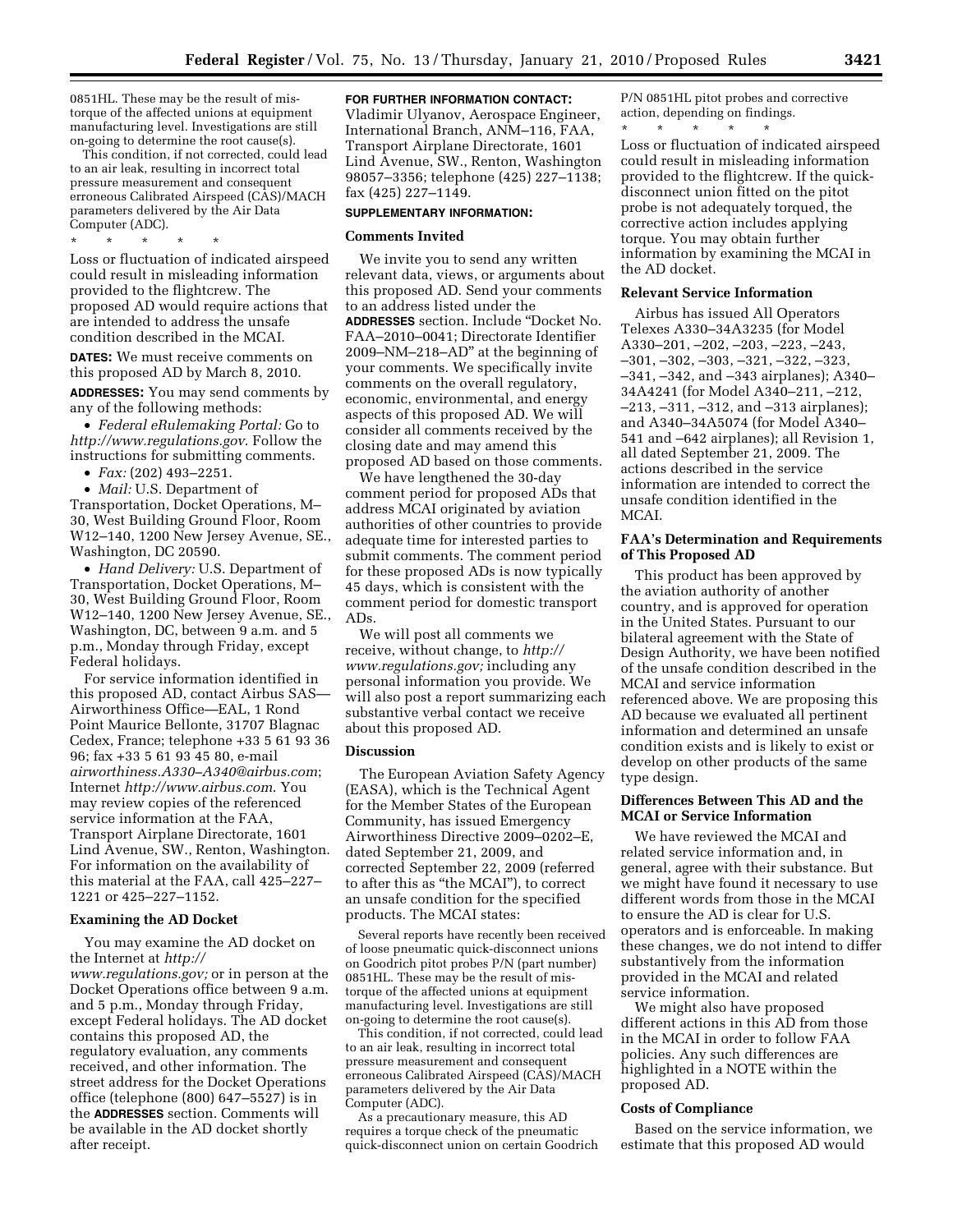0851HL. These may be the result of mistorque of the affected unions at equipment manufacturing level. Investigations are still on-going to determine the root cause(s).

This condition, if not corrected, could lead to an air leak, resulting in incorrect total pressure measurement and consequent erroneous Calibrated Airspeed (CAS)/MACH parameters delivered by the Air Data Computer (ADC).

\* \* \* \* \*

Loss or fluctuation of indicated airspeed could result in misleading information provided to the flightcrew. The proposed AD would require actions that are intended to address the unsafe condition described in the MCAI.

**DATES:** We must receive comments on this proposed AD by March 8, 2010.

**ADDRESSES:** You may send comments by any of the following methods:

• *Federal eRulemaking Portal:* Go to *http://www.regulations.gov*. Follow the instructions for submitting comments.

• *Fax:* (202) 493–2251.

• *Mail:* U.S. Department of Transportation, Docket Operations, M– 30, West Building Ground Floor, Room W12–140, 1200 New Jersey Avenue, SE., Washington, DC 20590.

• *Hand Delivery:* U.S. Department of Transportation, Docket Operations, M– 30, West Building Ground Floor, Room W12–140, 1200 New Jersey Avenue, SE., Washington, DC, between 9 a.m. and 5 p.m., Monday through Friday, except Federal holidays.

For service information identified in this proposed AD, contact Airbus SAS— Airworthiness Office—EAL, 1 Rond Point Maurice Bellonte, 31707 Blagnac Cedex, France; telephone +33 5 61 93 36 96; fax +33 5 61 93 45 80, e-mail *airworthiness.A330–A340@airbus.com*; Internet *http://www.airbus.com*. You may review copies of the referenced service information at the FAA, Transport Airplane Directorate, 1601 Lind Avenue, SW., Renton, Washington. For information on the availability of this material at the FAA, call 425–227– 1221 or 425–227–1152.

### **Examining the AD Docket**

You may examine the AD docket on the Internet at *http:// www.regulations.gov;* or in person at the Docket Operations office between 9 a.m. and 5 p.m., Monday through Friday, except Federal holidays. The AD docket contains this proposed AD, the regulatory evaluation, any comments received, and other information. The street address for the Docket Operations office (telephone (800) 647–5527) is in the **ADDRESSES** section. Comments will be available in the AD docket shortly after receipt.

#### **FOR FURTHER INFORMATION CONTACT:**

Vladimir Ulyanov, Aerospace Engineer, International Branch, ANM–116, FAA, Transport Airplane Directorate, 1601 Lind Avenue, SW., Renton, Washington 98057–3356; telephone (425) 227–1138; fax (425) 227–1149.

## **SUPPLEMENTARY INFORMATION:**

#### **Comments Invited**

We invite you to send any written relevant data, views, or arguments about this proposed AD. Send your comments to an address listed under the **ADDRESSES** section. Include ''Docket No. FAA–2010–0041; Directorate Identifier 2009–NM–218–AD'' at the beginning of your comments. We specifically invite comments on the overall regulatory, economic, environmental, and energy aspects of this proposed AD. We will consider all comments received by the closing date and may amend this proposed AD based on those comments.

We have lengthened the 30-day comment period for proposed ADs that address MCAI originated by aviation authorities of other countries to provide adequate time for interested parties to submit comments. The comment period for these proposed ADs is now typically 45 days, which is consistent with the comment period for domestic transport ADs.

We will post all comments we receive, without change, to *http:// www.regulations.gov;* including any personal information you provide. We will also post a report summarizing each substantive verbal contact we receive about this proposed AD.

## **Discussion**

The European Aviation Safety Agency (EASA), which is the Technical Agent for the Member States of the European Community, has issued Emergency Airworthiness Directive 2009–0202–E, dated September 21, 2009, and corrected September 22, 2009 (referred to after this as ''the MCAI''), to correct an unsafe condition for the specified products. The MCAI states:

Several reports have recently been received of loose pneumatic quick-disconnect unions on Goodrich pitot probes P/N (part number) 0851HL. These may be the result of mistorque of the affected unions at equipment manufacturing level. Investigations are still on-going to determine the root cause(s).

This condition, if not corrected, could lead to an air leak, resulting in incorrect total pressure measurement and consequent erroneous Calibrated Airspeed (CAS)/MACH parameters delivered by the Air Data Computer (ADC).

As a precautionary measure, this AD requires a torque check of the pneumatic quick-disconnect union on certain Goodrich P/N 0851HL pitot probes and corrective action, depending on findings.

\* \* \* \* \* Loss or fluctuation of indicated airspeed could result in misleading information provided to the flightcrew. If the quickdisconnect union fitted on the pitot probe is not adequately torqued, the corrective action includes applying torque. You may obtain further information by examining the MCAI in the AD docket.

## **Relevant Service Information**

Airbus has issued All Operators Telexes A330–34A3235 (for Model A330–201, –202, –203, –223, –243, –301, –302, –303, –321, –322, –323, –341, –342, and –343 airplanes); A340– 34A4241 (for Model A340–211, –212, –213, –311, –312, and –313 airplanes); and A340–34A5074 (for Model A340– 541 and –642 airplanes); all Revision 1, all dated September 21, 2009. The actions described in the service information are intended to correct the unsafe condition identified in the MCAI.

## **FAA's Determination and Requirements of This Proposed AD**

This product has been approved by the aviation authority of another country, and is approved for operation in the United States. Pursuant to our bilateral agreement with the State of Design Authority, we have been notified of the unsafe condition described in the MCAI and service information referenced above. We are proposing this AD because we evaluated all pertinent information and determined an unsafe condition exists and is likely to exist or develop on other products of the same type design.

## **Differences Between This AD and the MCAI or Service Information**

We have reviewed the MCAI and related service information and, in general, agree with their substance. But we might have found it necessary to use different words from those in the MCAI to ensure the AD is clear for U.S. operators and is enforceable. In making these changes, we do not intend to differ substantively from the information provided in the MCAI and related service information.

We might also have proposed different actions in this AD from those in the MCAI in order to follow FAA policies. Any such differences are highlighted in a NOTE within the proposed AD.

### **Costs of Compliance**

Based on the service information, we estimate that this proposed AD would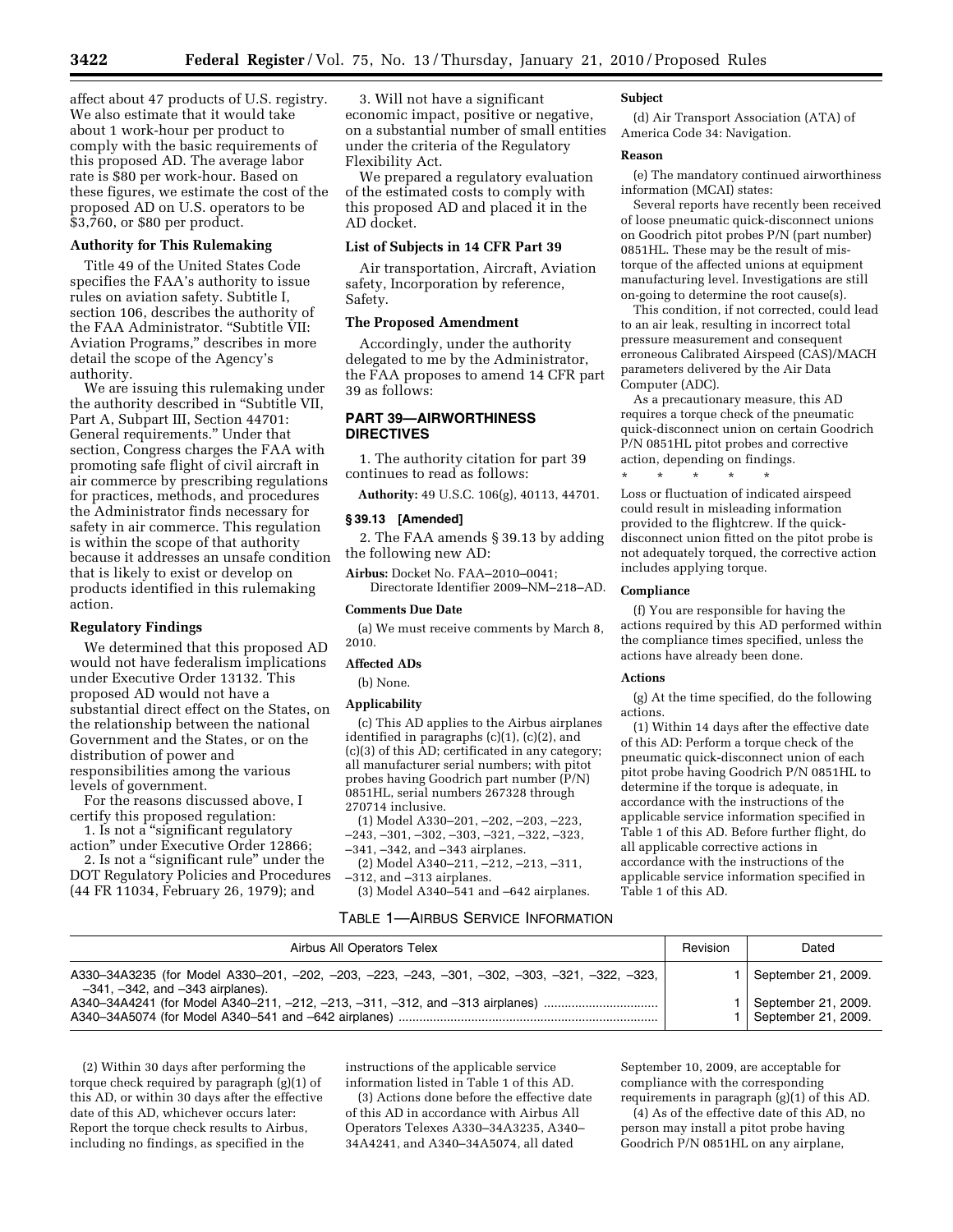affect about 47 products of U.S. registry. We also estimate that it would take about 1 work-hour per product to comply with the basic requirements of this proposed AD. The average labor rate is \$80 per work-hour. Based on these figures, we estimate the cost of the proposed AD on U.S. operators to be \$3,760, or \$80 per product.

# **Authority for This Rulemaking**

Title 49 of the United States Code specifies the FAA's authority to issue rules on aviation safety. Subtitle I, section 106, describes the authority of the FAA Administrator. ''Subtitle VII: Aviation Programs,'' describes in more detail the scope of the Agency's authority.

We are issuing this rulemaking under the authority described in ''Subtitle VII, Part A, Subpart III, Section 44701: General requirements.'' Under that section, Congress charges the FAA with promoting safe flight of civil aircraft in air commerce by prescribing regulations for practices, methods, and procedures the Administrator finds necessary for safety in air commerce. This regulation is within the scope of that authority because it addresses an unsafe condition that is likely to exist or develop on products identified in this rulemaking action.

### **Regulatory Findings**

We determined that this proposed AD would not have federalism implications under Executive Order 13132. This proposed AD would not have a substantial direct effect on the States, on the relationship between the national Government and the States, or on the distribution of power and responsibilities among the various levels of government.

For the reasons discussed above, I certify this proposed regulation:

1. Is not a ''significant regulatory action'' under Executive Order 12866;

2. Is not a "significant rule" under the DOT Regulatory Policies and Procedures (44 FR 11034, February 26, 1979); and

3. Will not have a significant economic impact, positive or negative, on a substantial number of small entities under the criteria of the Regulatory Flexibility Act.

We prepared a regulatory evaluation of the estimated costs to comply with this proposed AD and placed it in the AD docket.

# **List of Subjects in 14 CFR Part 39**

Air transportation, Aircraft, Aviation safety, Incorporation by reference, Safety.

## **The Proposed Amendment**

Accordingly, under the authority delegated to me by the Administrator, the FAA proposes to amend 14 CFR part 39 as follows:

# **PART 39—AIRWORTHINESS DIRECTIVES**

1. The authority citation for part 39 continues to read as follows:

**Authority:** 49 U.S.C. 106(g), 40113, 44701.

### **§ 39.13 [Amended]**

2. The FAA amends § 39.13 by adding the following new AD:

**Airbus:** Docket No. FAA–2010–0041; Directorate Identifier 2009–NM–218–AD.

### **Comments Due Date**

(a) We must receive comments by March 8, 2010.

## **Affected ADs**

(b) None.

#### **Applicability**

(c) This AD applies to the Airbus airplanes identified in paragraphs (c)(1), (c)(2), and (c)(3) of this AD; certificated in any category; all manufacturer serial numbers; with pitot probes having Goodrich part number (P/N) 0851HL, serial numbers 267328 through 270714 inclusive.

(1) Model A330–201, –202, –203, –223,  $-243, -301, -302, -303, -321, -322, -323,$ –341, –342, and –343 airplanes.

(2) Model A340–211, –212, –213, –311, –312, and –313 airplanes.

(3) Model A340–541 and –642 airplanes.

## TABLE 1—AIRBUS SERVICE INFORMATION

#### **Subject**

(d) Air Transport Association (ATA) of America Code 34: Navigation.

### **Reason**

(e) The mandatory continued airworthiness information (MCAI) states:

Several reports have recently been received of loose pneumatic quick-disconnect unions on Goodrich pitot probes P/N (part number) 0851HL. These may be the result of mistorque of the affected unions at equipment manufacturing level. Investigations are still on-going to determine the root cause(s).

This condition, if not corrected, could lead to an air leak, resulting in incorrect total pressure measurement and consequent erroneous Calibrated Airspeed (CAS)/MACH parameters delivered by the Air Data Computer (ADC).

As a precautionary measure, this AD requires a torque check of the pneumatic quick-disconnect union on certain Goodrich P/N 0851HL pitot probes and corrective action, depending on findings.

\* \* \* \* \* Loss or fluctuation of indicated airspeed could result in misleading information provided to the flightcrew. If the quickdisconnect union fitted on the pitot probe is not adequately torqued, the corrective action includes applying torque.

## **Compliance**

(f) You are responsible for having the actions required by this AD performed within the compliance times specified, unless the actions have already been done.

#### **Actions**

(g) At the time specified, do the following actions.

(1) Within 14 days after the effective date of this AD: Perform a torque check of the pneumatic quick-disconnect union of each pitot probe having Goodrich P/N 0851HL to determine if the torque is adequate, in accordance with the instructions of the applicable service information specified in Table 1 of this AD. Before further flight, do all applicable corrective actions in accordance with the instructions of the applicable service information specified in Table 1 of this AD.

| Airbus All Operators Telex                                                                                                                                                                                             | Revision | Dated                                                             |
|------------------------------------------------------------------------------------------------------------------------------------------------------------------------------------------------------------------------|----------|-------------------------------------------------------------------|
| A330-34A3235 (for Model A330-201, -202, -203, -223, -243, -301, -302, -303, -321, -322, -323,<br>$-341, -342,$ and $-343$ airplanes).<br>A340-34A4241 (for Model A340-211, -212, -213, -311, -312, and -313 airplanes) |          | September 21, 2009.<br>September 21, 2009.<br>September 21, 2009. |

(2) Within 30 days after performing the torque check required by paragraph (g)(1) of this AD, or within 30 days after the effective date of this AD, whichever occurs later: Report the torque check results to Airbus, including no findings, as specified in the

instructions of the applicable service information listed in Table 1 of this AD.

(3) Actions done before the effective date of this AD in accordance with Airbus All Operators Telexes A330–34A3235, A340– 34A4241, and A340–34A5074, all dated

September 10, 2009, are acceptable for compliance with the corresponding requirements in paragraph (g)(1) of this AD.

(4) As of the effective date of this AD, no person may install a pitot probe having Goodrich P/N 0851HL on any airplane,